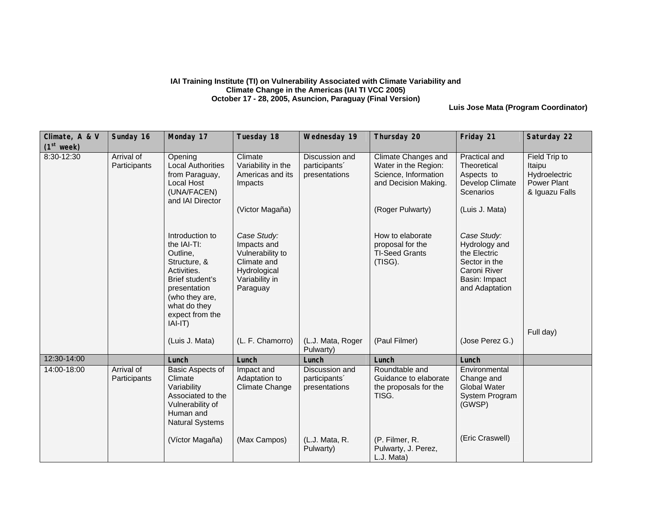## **IAI Training Institute (TI) on Vulnerability Associated with Climate Variability and Climate Change in the Americas (IAI TI VCC 2005) October 17 - 28, 2005, Asuncion, Paraguay (Final Version)**

**Luis Jose Mata (Program Coordinator)**

| Climate, A & V<br>(1 <sup>st</sup> week) | Sunday 16                  | Monday 17                                                                                                                                                                      | Tuesday 18                                                                                                  | Wednesday 19                                     | Thursday 20                                                                                        | Friday 21                                                                                                        | Saturday 22                                                               |
|------------------------------------------|----------------------------|--------------------------------------------------------------------------------------------------------------------------------------------------------------------------------|-------------------------------------------------------------------------------------------------------------|--------------------------------------------------|----------------------------------------------------------------------------------------------------|------------------------------------------------------------------------------------------------------------------|---------------------------------------------------------------------------|
| 8:30-12:30                               | Arrival of<br>Participants | Opening<br><b>Local Authorities</b><br>from Paraguay,<br><b>Local Host</b><br>(UNA/FACEN)<br>and IAI Director                                                                  | Climate<br>Variability in the<br>Americas and its<br>Impacts                                                | Discussion and<br>participants'<br>presentations | <b>Climate Changes and</b><br>Water in the Region:<br>Science, Information<br>and Decision Making. | Practical and<br>Theoretical<br>Aspects to<br>Develop Climate<br>Scenarios                                       | Field Trip to<br>Itaipu<br>Hydroelectric<br>Power Plant<br>& Iguazu Falls |
|                                          |                            |                                                                                                                                                                                | (Victor Magaña)                                                                                             |                                                  | (Roger Pulwarty)                                                                                   | (Luis J. Mata)                                                                                                   |                                                                           |
|                                          |                            | Introduction to<br>the IAI-TI:<br>Outline,<br>Structure, &<br>Activities.<br>Brief student's<br>presentation<br>(who they are,<br>what do they<br>expect from the<br>$IAI-T$ ) | Case Study:<br>Impacts and<br>Vulnerability to<br>Climate and<br>Hydrological<br>Variability in<br>Paraguay |                                                  | How to elaborate<br>proposal for the<br><b>TI-Seed Grants</b><br>(TISG).                           | Case Study:<br>Hydrology and<br>the Electric<br>Sector in the<br>Caroni River<br>Basin: Impact<br>and Adaptation | Full day)                                                                 |
|                                          |                            | (Luis J. Mata)                                                                                                                                                                 | (L. F. Chamorro)                                                                                            | (L.J. Mata, Roger<br>Pulwarty)                   | (Paul Filmer)                                                                                      | (Jose Perez G.)                                                                                                  |                                                                           |
| 12:30-14:00                              |                            | Lunch                                                                                                                                                                          | Lunch                                                                                                       | Lunch                                            | Lunch                                                                                              | Lunch                                                                                                            |                                                                           |
| 14:00-18:00                              | Arrival of<br>Participants | Basic Aspects of<br>Climate<br>Variability<br>Associated to the<br>Vulnerability of<br>Human and<br><b>Natural Systems</b>                                                     | Impact and<br>Adaptation to<br>Climate Change                                                               | Discussion and<br>participants'<br>presentations | Roundtable and<br>Guidance to elaborate<br>the proposals for the<br>TISG.                          | Environmental<br>Change and<br><b>Global Water</b><br>System Program<br>(GWSP)                                   |                                                                           |
|                                          |                            | (Víctor Magaña)                                                                                                                                                                | (Max Campos)                                                                                                | (L.J. Mata, R.<br>Pulwarty)                      | (P. Filmer, R.<br>Pulwarty, J. Perez,<br>L.J. Mata)                                                | (Eric Craswell)                                                                                                  |                                                                           |